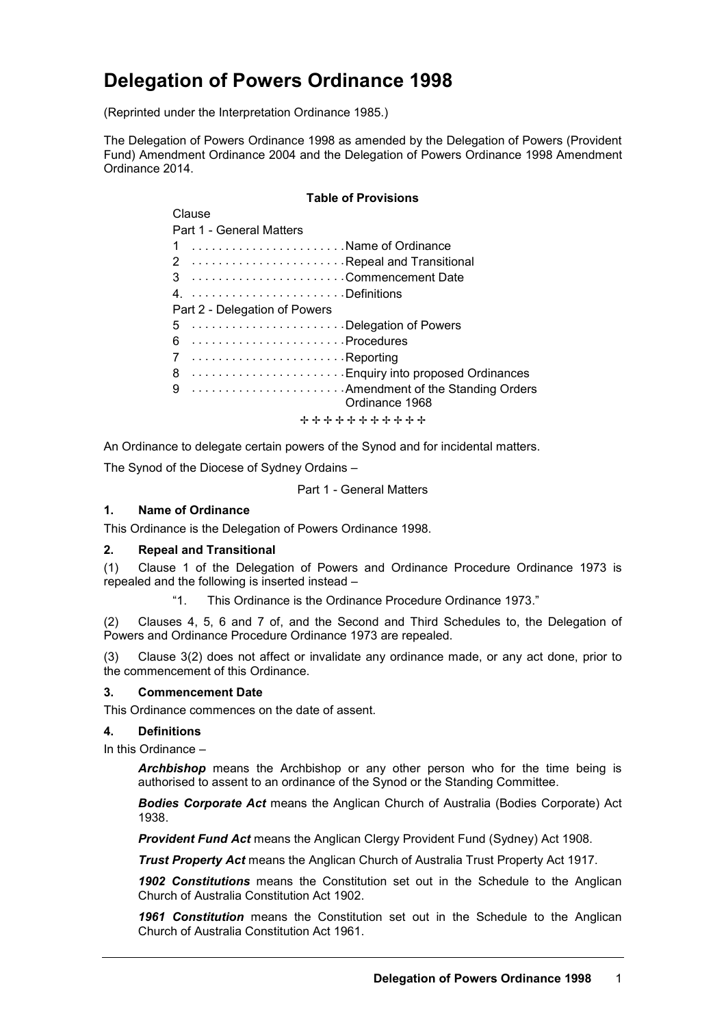# **Delegation of Powers Ordinance 1998**

(Reprinted under the Interpretation Ordinance 1985.)

The Delegation of Powers Ordinance 1998 as amended by the Delegation of Powers (Provident Fund) Amendment Ordinance 2004 and the Delegation of Powers Ordinance 1998 Amendment Ordinance 2014.

### **Table of Provisions**

| viausc                              |
|-------------------------------------|
| Part 1 - General Matters            |
| 1 Name of Ordinance                 |
|                                     |
|                                     |
|                                     |
| Part 2 - Delegation of Powers       |
| 5 Delegation of Powers              |
|                                     |
|                                     |
| 8  Enquiry into proposed Ordinances |
| 9  Amendment of the Standing Orders |
| Ordinance 1968                      |
| + + + + + + + + + + +               |

An Ordinance to delegate certain powers of the Synod and for incidental matters.

The Synod of the Diocese of Sydney Ordains –

Part 1 - General Matters

### **1. Name of Ordinance**

This Ordinance is the Delegation of Powers Ordinance 1998.

# **2. Repeal and Transitional**

Clause

(1) Clause 1 of the Delegation of Powers and Ordinance Procedure Ordinance 1973 is repealed and the following is inserted instead –

"1. This Ordinance is the Ordinance Procedure Ordinance 1973."

(2) Clauses 4, 5, 6 and 7 of, and the Second and Third Schedules to, the Delegation of Powers and Ordinance Procedure Ordinance 1973 are repealed.

(3) Clause 3(2) does not affect or invalidate any ordinance made, or any act done, prior to the commencement of this Ordinance.

#### **3. Commencement Date**

This Ordinance commences on the date of assent.

#### **4. Definitions**

In this Ordinance –

*Archbishop* means the Archbishop or any other person who for the time being is authorised to assent to an ordinance of the Synod or the Standing Committee.

*Bodies Corporate Act* means the Anglican Church of Australia (Bodies Corporate) Act 1938.

*Provident Fund Act* means the Anglican Clergy Provident Fund (Sydney) Act 1908.

*Trust Property Act* means the Anglican Church of Australia Trust Property Act 1917.

*1902 Constitutions* means the Constitution set out in the Schedule to the Anglican Church of Australia Constitution Act 1902.

*1961 Constitution* means the Constitution set out in the Schedule to the Anglican Church of Australia Constitution Act 1961.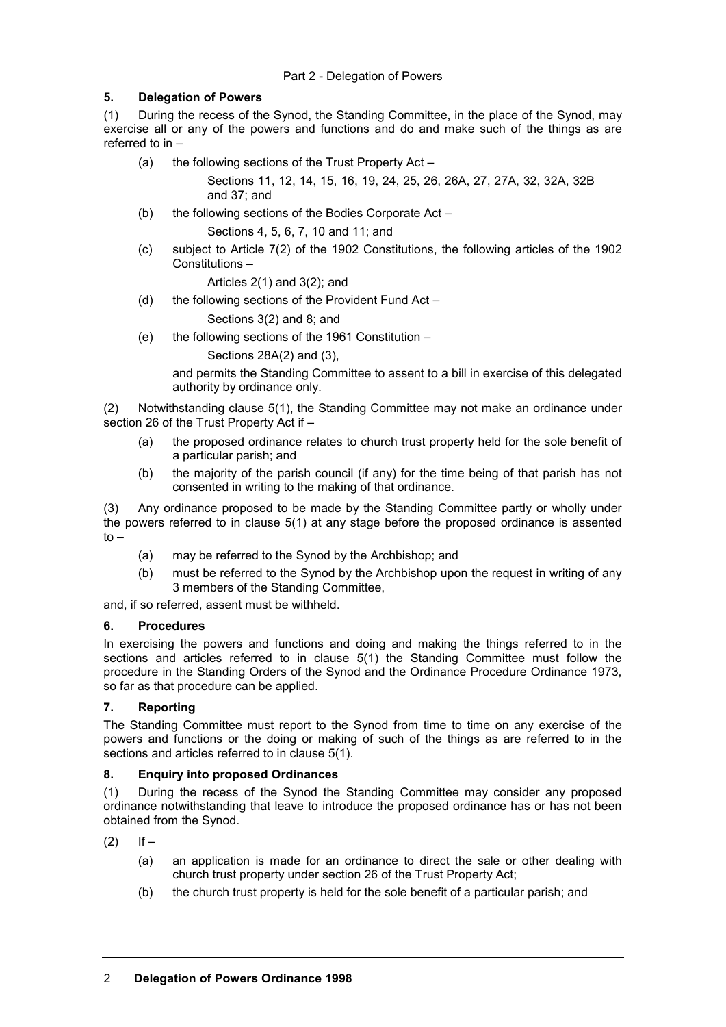# **5. Delegation of Powers**

(1) During the recess of the Synod, the Standing Committee, in the place of the Synod, may exercise all or any of the powers and functions and do and make such of the things as are referred to in –

(a) the following sections of the Trust Property Act –

Sections 11, 12, 14, 15, 16, 19, 24, 25, 26, 26A, 27, 27A, 32, 32A, 32B and 37; and

- (b) the following sections of the Bodies Corporate Act Sections 4, 5, 6, 7, 10 and 11; and
- (c) subject to Article 7(2) of the 1902 Constitutions, the following articles of the 1902 Constitutions –

Articles 2(1) and 3(2); and

(d) the following sections of the Provident Fund Act –

Sections 3(2) and 8; and

(e) the following sections of the 1961 Constitution –

Sections 28A(2) and (3),

and permits the Standing Committee to assent to a bill in exercise of this delegated authority by ordinance only.

(2) Notwithstanding clause 5(1), the Standing Committee may not make an ordinance under section 26 of the Trust Property Act if –

- (a) the proposed ordinance relates to church trust property held for the sole benefit of a particular parish; and
- (b) the majority of the parish council (if any) for the time being of that parish has not consented in writing to the making of that ordinance.

(3) Any ordinance proposed to be made by the Standing Committee partly or wholly under the powers referred to in clause 5(1) at any stage before the proposed ordinance is assented  $to -$ 

- (a) may be referred to the Synod by the Archbishop; and
- (b) must be referred to the Synod by the Archbishop upon the request in writing of any 3 members of the Standing Committee,

and, if so referred, assent must be withheld.

# **6. Procedures**

In exercising the powers and functions and doing and making the things referred to in the sections and articles referred to in clause 5(1) the Standing Committee must follow the procedure in the Standing Orders of the Synod and the Ordinance Procedure Ordinance 1973, so far as that procedure can be applied.

# **7. Reporting**

The Standing Committee must report to the Synod from time to time on any exercise of the powers and functions or the doing or making of such of the things as are referred to in the sections and articles referred to in clause 5(1).

# **8. Enquiry into proposed Ordinances**

(1) During the recess of the Synod the Standing Committee may consider any proposed ordinance notwithstanding that leave to introduce the proposed ordinance has or has not been obtained from the Synod.

 $(2)$  If –

- (a) an application is made for an ordinance to direct the sale or other dealing with church trust property under section 26 of the Trust Property Act;
- (b) the church trust property is held for the sole benefit of a particular parish; and